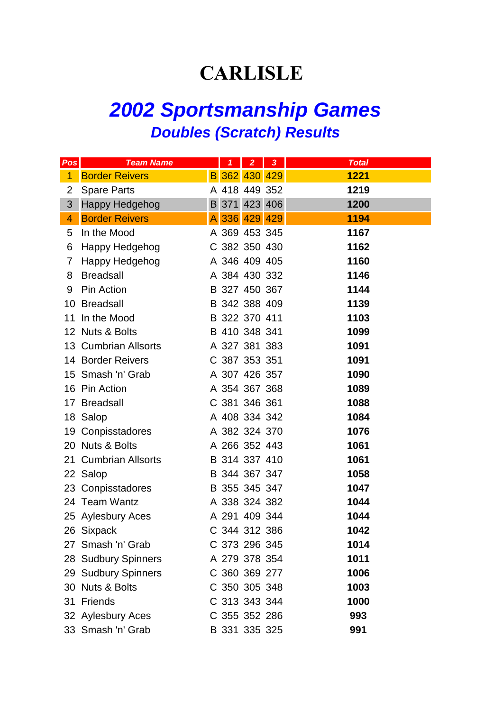## **CARLISLE**

## *2002 Sportsmanship Games Doubles (Scratch) Results*

| Pos            | <b>Team Name</b>      | $\mathbf{1}$  | $\overline{2}$ | 3 <sup>°</sup> | <b>Total</b> |
|----------------|-----------------------|---------------|----------------|----------------|--------------|
| 1              | <b>Border Reivers</b> | B 362 430 429 |                |                | 1221         |
| $\overline{2}$ | <b>Spare Parts</b>    | A 418 449 352 |                |                | 1219         |
| 3              | <b>Happy Hedgehog</b> | B 371 423 406 |                |                | 1200         |
| 4              | <b>Border Reivers</b> | A 336 429 429 |                |                | 1194         |
| 5              | In the Mood           | A 369 453 345 |                |                | 1167         |
| 6              | Happy Hedgehog        | C 382 350 430 |                |                | 1162         |
| 7              | Happy Hedgehog        | A 346 409 405 |                |                | 1160         |
| 8              | <b>Breadsall</b>      |               |                | A 384 430 332  | 1146         |
| 9              | Pin Action            | B 327 450 367 |                |                | 1144         |
|                | 10 Breadsall          |               |                | B 342 388 409  | 1139         |
|                | 11 In the Mood        | B 322 370 411 |                |                | 1103         |
|                | 12 Nuts & Bolts       |               |                | B 410 348 341  | 1099         |
|                | 13 Cumbrian Allsorts  |               |                | A 327 381 383  | 1091         |
|                | 14 Border Reivers     |               |                | C 387 353 351  | 1091         |
|                | 15 Smash 'n' Grab     | A 307 426 357 |                |                | 1090         |
|                | 16 Pin Action         | A 354 367 368 |                |                | 1089         |
|                | 17 Breadsall          |               |                | C 381 346 361  | 1088         |
|                | 18 Salop              |               |                | A 408 334 342  | 1084         |
|                | 19 Conpisstadores     | A 382 324 370 |                |                | 1076         |
|                | 20 Nuts & Bolts       |               |                | A 266 352 443  | 1061         |
|                | 21 Cumbrian Allsorts  | B 314 337 410 |                |                | 1061         |
|                | 22 Salop              |               |                | B 344 367 347  | 1058         |
|                | 23 Conpisstadores     | B 355 345 347 |                |                | 1047         |
|                | 24 Team Wantz         |               |                | A 338 324 382  | 1044         |
|                | 25 Aylesbury Aces     | A 291 409 344 |                |                | 1044         |
|                | 26 Sixpack            | C 344 312 386 |                |                | 1042         |
|                | 27 Smash 'n' Grab     | C 373 296 345 |                |                | 1014         |
|                | 28 Sudbury Spinners   | A 279 378 354 |                |                | 1011         |
|                | 29 Sudbury Spinners   | C 360 369 277 |                |                | 1006         |
|                | 30 Nuts & Bolts       | C 350 305 348 |                |                | 1003         |
|                | 31 Friends            | C 313 343 344 |                |                | 1000         |
|                | 32 Aylesbury Aces     | C 355 352 286 |                |                | 993          |
|                | 33 Smash 'n' Grab     | B 331 335 325 |                |                | 991          |